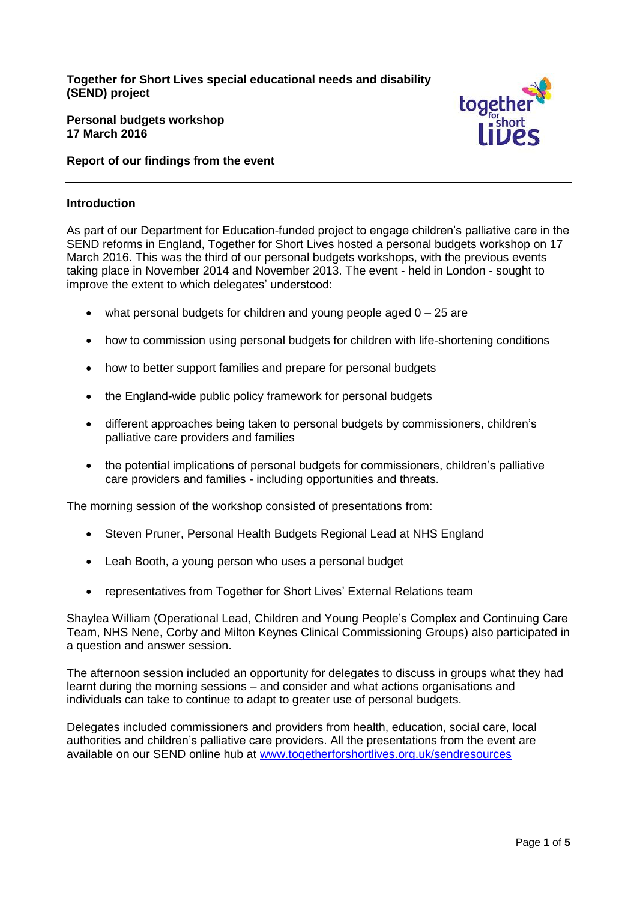**Together for Short Lives special educational needs and disability (SEND) project**



**Personal budgets workshop 17 March 2016**

**Report of our findings from the event**

### **Introduction**

As part of our Department for Education-funded project to engage children's palliative care in the SEND reforms in England, Together for Short Lives hosted a personal budgets workshop on 17 March 2016. This was the third of our personal budgets workshops, with the previous events taking place in November 2014 and November 2013. The event - held in London - sought to improve the extent to which delegates' understood:

- $\bullet$  what personal budgets for children and young people aged  $0 25$  are
- how to commission using personal budgets for children with life-shortening conditions
- how to better support families and prepare for personal budgets
- the England-wide public policy framework for personal budgets
- different approaches being taken to personal budgets by commissioners, children's palliative care providers and families
- the potential implications of personal budgets for commissioners, children's palliative care providers and families - including opportunities and threats.

The morning session of the workshop consisted of presentations from:

- Steven Pruner, Personal Health Budgets Regional Lead at NHS England
- Leah Booth, a young person who uses a personal budget
- representatives from Together for Short Lives' External Relations team

Shaylea William (Operational Lead, Children and Young People's Complex and Continuing Care Team, NHS Nene, Corby and Milton Keynes Clinical Commissioning Groups) also participated in a question and answer session.

The afternoon session included an opportunity for delegates to discuss in groups what they had learnt during the morning sessions – and consider and what actions organisations and individuals can take to continue to adapt to greater use of personal budgets.

Delegates included commissioners and providers from health, education, social care, local authorities and children's palliative care providers. All the presentations from the event are available on our SEND online hub at [www.togetherforshortlives.org.uk/sendresources](http://www.togetherforshortlives.org.uk/sendresources)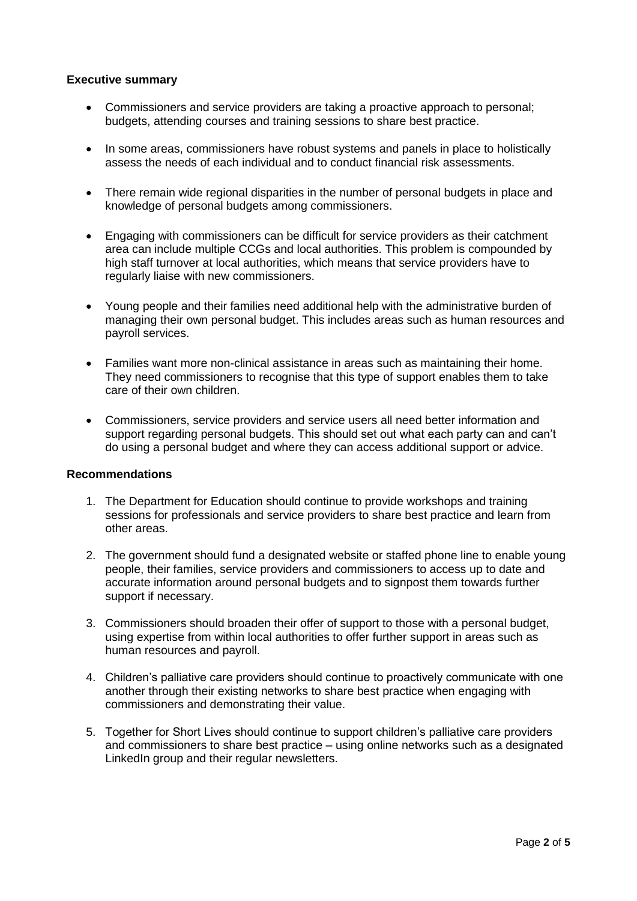# **Executive summary**

- Commissioners and service providers are taking a proactive approach to personal; budgets, attending courses and training sessions to share best practice.
- In some areas, commissioners have robust systems and panels in place to holistically assess the needs of each individual and to conduct financial risk assessments.
- There remain wide regional disparities in the number of personal budgets in place and knowledge of personal budgets among commissioners.
- Engaging with commissioners can be difficult for service providers as their catchment area can include multiple CCGs and local authorities. This problem is compounded by high staff turnover at local authorities, which means that service providers have to regularly liaise with new commissioners.
- Young people and their families need additional help with the administrative burden of managing their own personal budget. This includes areas such as human resources and payroll services.
- Families want more non-clinical assistance in areas such as maintaining their home. They need commissioners to recognise that this type of support enables them to take care of their own children.
- Commissioners, service providers and service users all need better information and support regarding personal budgets. This should set out what each party can and can't do using a personal budget and where they can access additional support or advice.

### **Recommendations**

- 1. The Department for Education should continue to provide workshops and training sessions for professionals and service providers to share best practice and learn from other areas.
- 2. The government should fund a designated website or staffed phone line to enable young people, their families, service providers and commissioners to access up to date and accurate information around personal budgets and to signpost them towards further support if necessary.
- 3. Commissioners should broaden their offer of support to those with a personal budget, using expertise from within local authorities to offer further support in areas such as human resources and payroll.
- 4. Children's palliative care providers should continue to proactively communicate with one another through their existing networks to share best practice when engaging with commissioners and demonstrating their value.
- 5. Together for Short Lives should continue to support children's palliative care providers and commissioners to share best practice – using online networks such as a designated LinkedIn group and their regular newsletters.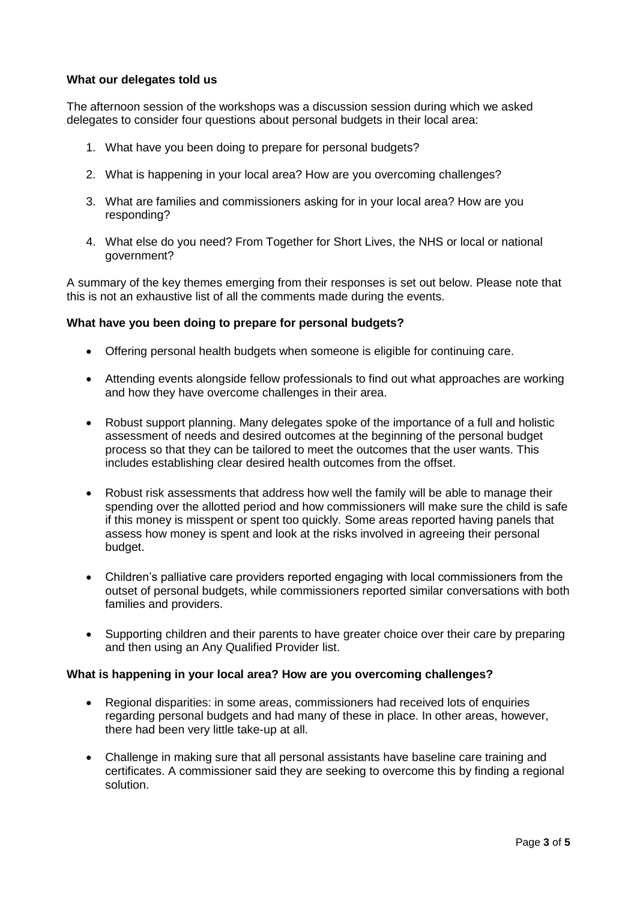# **What our delegates told us**

The afternoon session of the workshops was a discussion session during which we asked delegates to consider four questions about personal budgets in their local area:

- 1. What have you been doing to prepare for personal budgets?
- 2. What is happening in your local area? How are you overcoming challenges?
- 3. What are families and commissioners asking for in your local area? How are you responding?
- 4. What else do you need? From Together for Short Lives, the NHS or local or national government?

A summary of the key themes emerging from their responses is set out below. Please note that this is not an exhaustive list of all the comments made during the events.

### **What have you been doing to prepare for personal budgets?**

- Offering personal health budgets when someone is eligible for continuing care.
- Attending events alongside fellow professionals to find out what approaches are working and how they have overcome challenges in their area.
- Robust support planning. Many delegates spoke of the importance of a full and holistic assessment of needs and desired outcomes at the beginning of the personal budget process so that they can be tailored to meet the outcomes that the user wants. This includes establishing clear desired health outcomes from the offset.
- Robust risk assessments that address how well the family will be able to manage their spending over the allotted period and how commissioners will make sure the child is safe if this money is misspent or spent too quickly. Some areas reported having panels that assess how money is spent and look at the risks involved in agreeing their personal budget.
- Children's palliative care providers reported engaging with local commissioners from the outset of personal budgets, while commissioners reported similar conversations with both families and providers.
- Supporting children and their parents to have greater choice over their care by preparing and then using an Any Qualified Provider list.

#### **What is happening in your local area? How are you overcoming challenges?**

- Regional disparities: in some areas, commissioners had received lots of enquiries regarding personal budgets and had many of these in place. In other areas, however, there had been very little take-up at all.
- Challenge in making sure that all personal assistants have baseline care training and certificates. A commissioner said they are seeking to overcome this by finding a regional solution.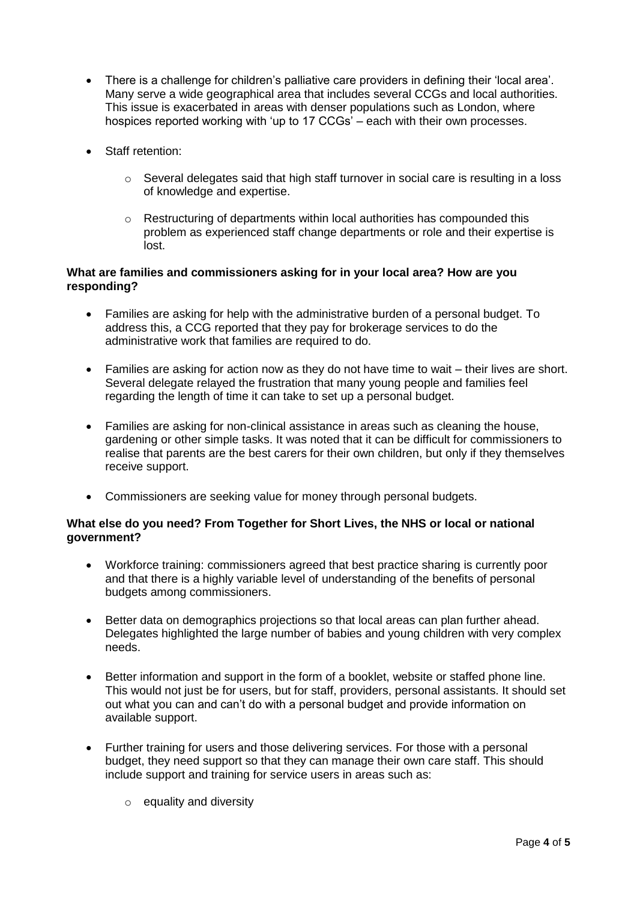- There is a challenge for children's palliative care providers in defining their 'local area'. Many serve a wide geographical area that includes several CCGs and local authorities. This issue is exacerbated in areas with denser populations such as London, where hospices reported working with 'up to 17 CCGs' – each with their own processes.
- Staff retention:
	- o Several delegates said that high staff turnover in social care is resulting in a loss of knowledge and expertise.
	- $\circ$  Restructuring of departments within local authorities has compounded this problem as experienced staff change departments or role and their expertise is lost.

# **What are families and commissioners asking for in your local area? How are you responding?**

- Families are asking for help with the administrative burden of a personal budget. To address this, a CCG reported that they pay for brokerage services to do the administrative work that families are required to do.
- Families are asking for action now as they do not have time to wait their lives are short. Several delegate relayed the frustration that many young people and families feel regarding the length of time it can take to set up a personal budget.
- Families are asking for non-clinical assistance in areas such as cleaning the house, gardening or other simple tasks. It was noted that it can be difficult for commissioners to realise that parents are the best carers for their own children, but only if they themselves receive support.
- Commissioners are seeking value for money through personal budgets.

# **What else do you need? From Together for Short Lives, the NHS or local or national government?**

- Workforce training: commissioners agreed that best practice sharing is currently poor and that there is a highly variable level of understanding of the benefits of personal budgets among commissioners.
- Better data on demographics projections so that local areas can plan further ahead. Delegates highlighted the large number of babies and young children with very complex needs.
- Better information and support in the form of a booklet, website or staffed phone line. This would not just be for users, but for staff, providers, personal assistants. It should set out what you can and can't do with a personal budget and provide information on available support.
- Further training for users and those delivering services. For those with a personal budget, they need support so that they can manage their own care staff. This should include support and training for service users in areas such as:
	- $\circ$  equality and diversity